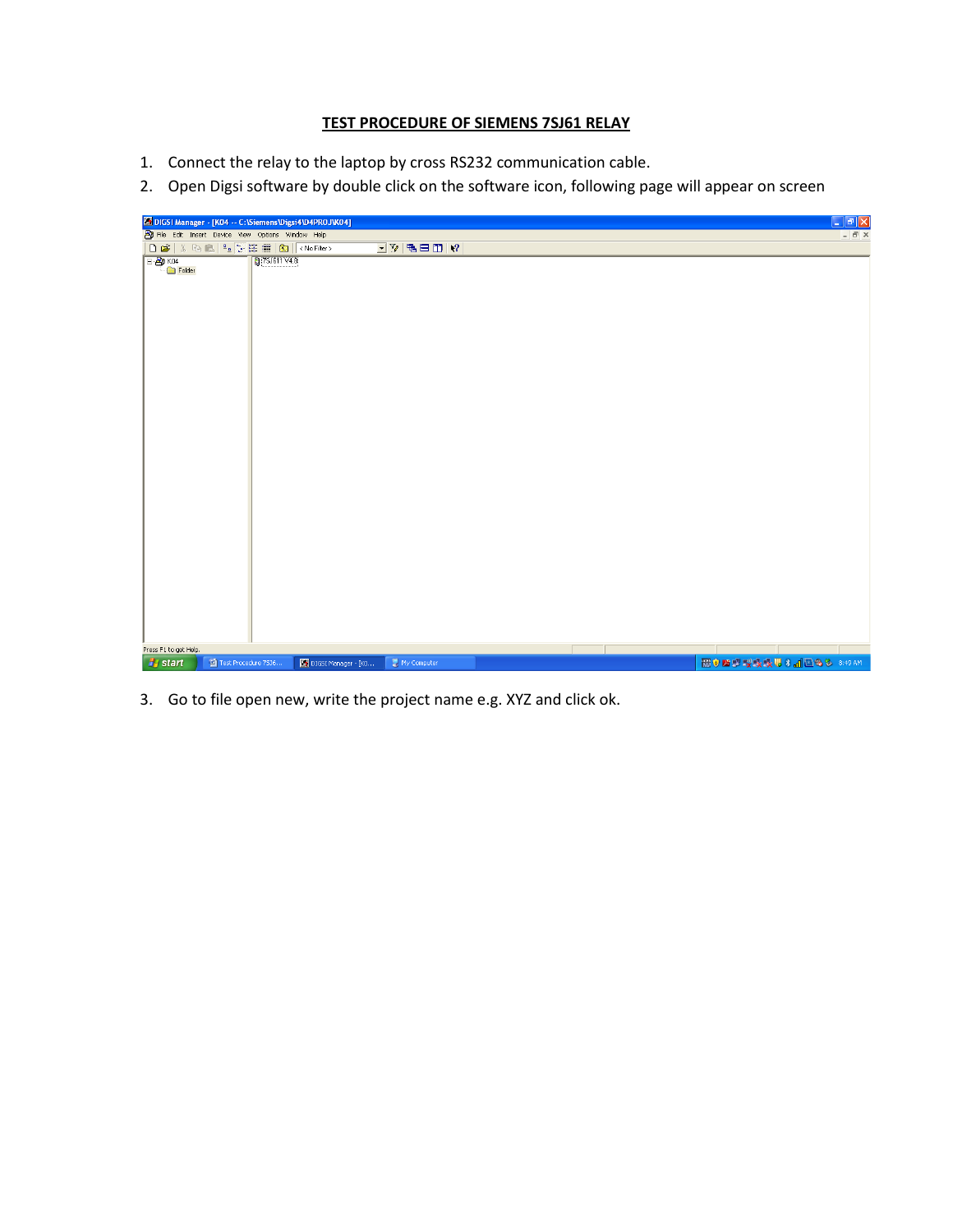## **TEST PROCEDURE OF SIEMENS 7SJ61 RELAY**

- 1. Connect the relay to the laptop by cross RS232 communication cable.
- 2. Open Digsi software by double click on the software icon, following page will appear on screen



3. Go to file open new, write the project name e.g. XYZ and click ok.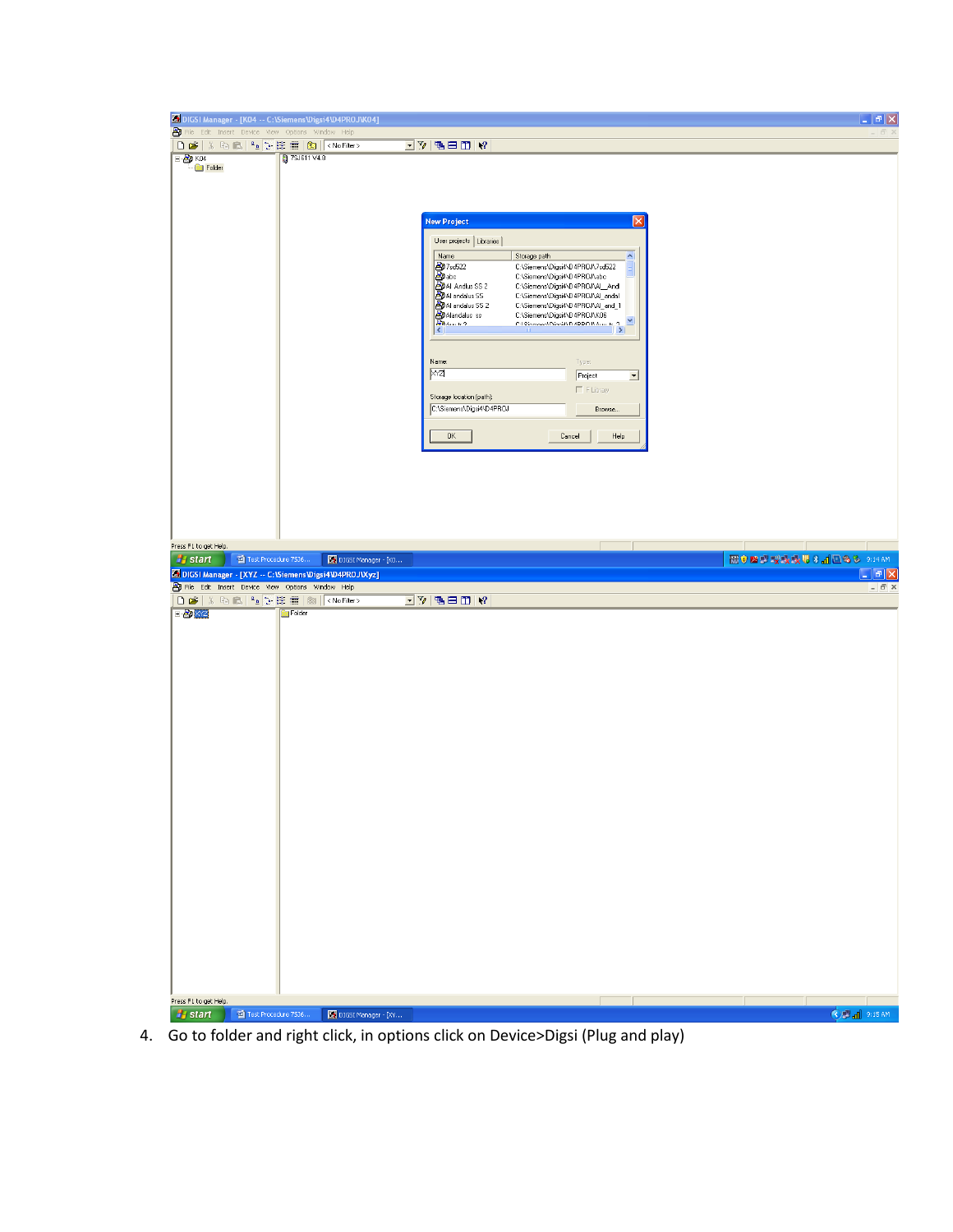|                                                                                                                | DIGSI Manager - [KO4 -- C:\Siemens\Digsi4\D4PROJ\KO4]                                                                                                                      |                                                                        | - <b> 히</b> X                              |
|----------------------------------------------------------------------------------------------------------------|----------------------------------------------------------------------------------------------------------------------------------------------------------------------------|------------------------------------------------------------------------|--------------------------------------------|
| File Edit Insert Device View Options Window Help                                                               | コットロロド                                                                                                                                                                     |                                                                        |                                            |
| $E$ KO4<br>27SJ611V4.8                                                                                         |                                                                                                                                                                            |                                                                        |                                            |
| Folder                                                                                                         |                                                                                                                                                                            |                                                                        |                                            |
|                                                                                                                |                                                                                                                                                                            |                                                                        |                                            |
|                                                                                                                |                                                                                                                                                                            | Ι×                                                                     |                                            |
|                                                                                                                | <b>New Project</b>                                                                                                                                                         |                                                                        |                                            |
|                                                                                                                | User projects   Libraries  <br>Name<br>Storage path                                                                                                                        | ×                                                                      |                                            |
|                                                                                                                | <b>Than 12</b><br><b>Altan Addus</b> SS 2<br><b>Altan Andus SS 2</b><br><b>Altan Addus SS 2</b><br><b>Altan Addus ss</b><br><b>Altan Addus ss</b><br><b>Altan Addus ss</b> | C:\Siemens\Digsi4\D4PROJ\7sd522<br>C:\Siemens\Digsi4\D4PROJ\abc        |                                            |
|                                                                                                                |                                                                                                                                                                            | C:\Siemens\Digsi4\D4PR0J\Al_Andl                                       |                                            |
|                                                                                                                |                                                                                                                                                                            | C:\Siemens\Digsi4\D4PROJ\Al_andal<br>C:\Siemens\Digsi4\D4PR0J\Al_and_1 |                                            |
|                                                                                                                |                                                                                                                                                                            | C:\Siemens\Digsi4\D4PROJ\K06<br>$\mathbf{\mathsf{v}}$                  |                                            |
|                                                                                                                |                                                                                                                                                                            |                                                                        |                                            |
|                                                                                                                | Name:                                                                                                                                                                      | Type:                                                                  |                                            |
|                                                                                                                | XYZ                                                                                                                                                                        | Project<br>$\overline{\phantom{a}}$                                    |                                            |
|                                                                                                                | Storage location (path):                                                                                                                                                   | $\Gamma$ F Library                                                     |                                            |
|                                                                                                                | C:\Siemens\Digsi4\D4PROJ                                                                                                                                                   | Browse.                                                                |                                            |
|                                                                                                                | $\mathsf{OK}$                                                                                                                                                              | Help<br>Cancel                                                         |                                            |
|                                                                                                                |                                                                                                                                                                            |                                                                        |                                            |
|                                                                                                                |                                                                                                                                                                            |                                                                        |                                            |
|                                                                                                                |                                                                                                                                                                            |                                                                        |                                            |
|                                                                                                                |                                                                                                                                                                            |                                                                        |                                            |
|                                                                                                                |                                                                                                                                                                            |                                                                        |                                            |
| Press F1 to get Help.                                                                                          |                                                                                                                                                                            |                                                                        |                                            |
| <b>A</b> start<br>Test Procedure 7536                                                                          | DIGSI Manager - [KO                                                                                                                                                        | 图 ● 图 型 型 嗅 嗅 吸 思 8 ad 图 8 & 9:14 AM                                   |                                            |
|                                                                                                                |                                                                                                                                                                            |                                                                        |                                            |
| 5 DIGSI Manager - [XYZ -- C:\Siemens\Digsi4\D4PROJ\Xyz]<br>By File Edit Insert Device View Options Window Help |                                                                                                                                                                            |                                                                        | $\Box$ e $\mathsf{x}$<br>$ \overline{a}$ x |
|                                                                                                                | $\overline{\mathbb{E}[\mathbb{V}]\boxtimes\boxplus\boxplus[\mathbb{V}]}$                                                                                                   |                                                                        |                                            |
| <b>E By</b> X <sub>Z</sub><br>Folder                                                                           |                                                                                                                                                                            |                                                                        |                                            |
|                                                                                                                |                                                                                                                                                                            |                                                                        |                                            |
|                                                                                                                |                                                                                                                                                                            |                                                                        |                                            |
|                                                                                                                |                                                                                                                                                                            |                                                                        |                                            |
|                                                                                                                |                                                                                                                                                                            |                                                                        |                                            |
|                                                                                                                |                                                                                                                                                                            |                                                                        |                                            |
|                                                                                                                |                                                                                                                                                                            |                                                                        |                                            |
|                                                                                                                |                                                                                                                                                                            |                                                                        |                                            |
|                                                                                                                |                                                                                                                                                                            |                                                                        |                                            |
|                                                                                                                |                                                                                                                                                                            |                                                                        |                                            |
|                                                                                                                |                                                                                                                                                                            |                                                                        |                                            |
|                                                                                                                |                                                                                                                                                                            |                                                                        |                                            |
|                                                                                                                |                                                                                                                                                                            |                                                                        |                                            |
|                                                                                                                |                                                                                                                                                                            |                                                                        |                                            |
|                                                                                                                |                                                                                                                                                                            |                                                                        |                                            |
|                                                                                                                |                                                                                                                                                                            |                                                                        |                                            |
|                                                                                                                |                                                                                                                                                                            |                                                                        |                                            |
|                                                                                                                |                                                                                                                                                                            |                                                                        |                                            |
|                                                                                                                |                                                                                                                                                                            |                                                                        |                                            |
|                                                                                                                |                                                                                                                                                                            |                                                                        |                                            |
|                                                                                                                |                                                                                                                                                                            |                                                                        |                                            |
| Press F1 to get Help.<br><b>H</b> start<br>Test Procedure 7536                                                 | DIGSI Manager - [XY                                                                                                                                                        | <b>OP</b> all 9:15 AM                                                  |                                            |

4. Go to folder and right click, in options click on Device>Digsi (Plug and play)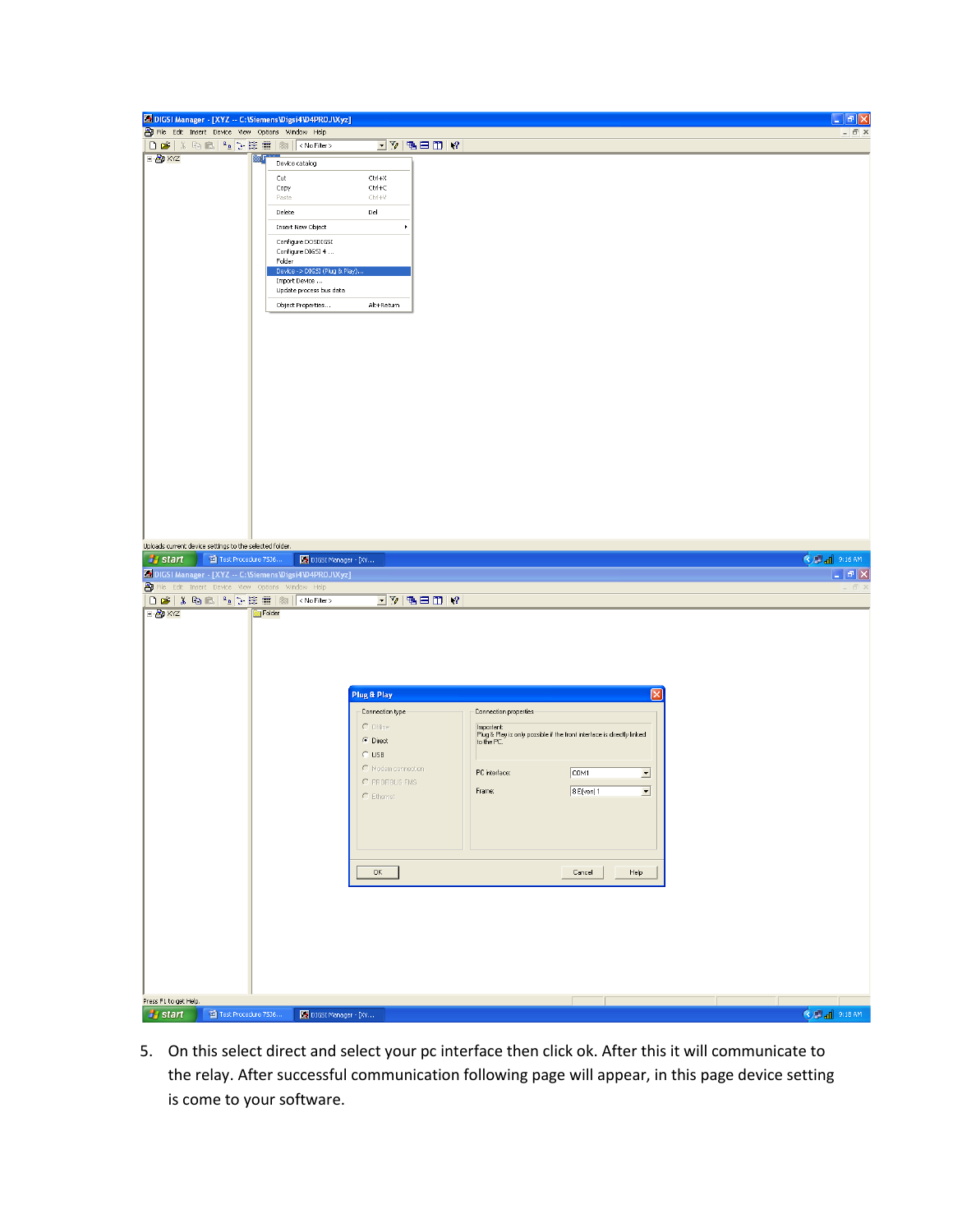| <b>Ex</b> DIGSI Manager - [XYZ -- C:\Siemens\Digsi4\D4PROJ\Xyz]                                  |                                                |                                                             |                                                                                                    | - <b> </b> 하   ×                   |
|--------------------------------------------------------------------------------------------------|------------------------------------------------|-------------------------------------------------------------|----------------------------------------------------------------------------------------------------|------------------------------------|
| File Edit Insert Device View Options Window Help                                                 |                                                |                                                             |                                                                                                    | $ \bar{$ } $\times$                |
|                                                                                                  |                                                | $\boxed{\cdot}$ $\sqrt{2}$ (be $\boxed{\cdot}$ ) $\sqrt{2}$ |                                                                                                    |                                    |
| <b>E By</b> XYZ                                                                                  | œF<br>Device catalog                           |                                                             |                                                                                                    |                                    |
|                                                                                                  | Cut                                            | Ctrl+X                                                      |                                                                                                    |                                    |
|                                                                                                  | Copy                                           | $Ctrl + C$                                                  |                                                                                                    |                                    |
|                                                                                                  | Paste                                          | $CtrI+V$                                                    |                                                                                                    |                                    |
|                                                                                                  | Delete                                         | Del                                                         |                                                                                                    |                                    |
|                                                                                                  | Insert New Object                              | ٠                                                           |                                                                                                    |                                    |
|                                                                                                  | Configure DOSDIGSI<br>Configure DIGSI 4        |                                                             |                                                                                                    |                                    |
|                                                                                                  | Folder                                         |                                                             |                                                                                                    |                                    |
|                                                                                                  | Device -> DIGSI (Plug & Play)<br>Import Device |                                                             |                                                                                                    |                                    |
|                                                                                                  | Update process bus data                        |                                                             |                                                                                                    |                                    |
|                                                                                                  | Object Properties                              | Alt+Return                                                  |                                                                                                    |                                    |
|                                                                                                  |                                                |                                                             |                                                                                                    |                                    |
|                                                                                                  |                                                |                                                             |                                                                                                    |                                    |
|                                                                                                  |                                                |                                                             |                                                                                                    |                                    |
|                                                                                                  |                                                |                                                             |                                                                                                    |                                    |
|                                                                                                  |                                                |                                                             |                                                                                                    |                                    |
|                                                                                                  |                                                |                                                             |                                                                                                    |                                    |
|                                                                                                  |                                                |                                                             |                                                                                                    |                                    |
|                                                                                                  |                                                |                                                             |                                                                                                    |                                    |
|                                                                                                  |                                                |                                                             |                                                                                                    |                                    |
|                                                                                                  |                                                |                                                             |                                                                                                    |                                    |
|                                                                                                  |                                                |                                                             |                                                                                                    |                                    |
|                                                                                                  |                                                |                                                             |                                                                                                    |                                    |
|                                                                                                  |                                                |                                                             |                                                                                                    |                                    |
|                                                                                                  |                                                |                                                             |                                                                                                    |                                    |
|                                                                                                  |                                                |                                                             |                                                                                                    |                                    |
|                                                                                                  |                                                |                                                             |                                                                                                    |                                    |
| Uploads current device settings to the selected folder.<br><b>B</b> start<br>Test Procedure 7536 |                                                |                                                             |                                                                                                    | C 3 al 9:16 AM                     |
|                                                                                                  | DIGSI Manager - [XY                            |                                                             |                                                                                                    |                                    |
|                                                                                                  |                                                |                                                             |                                                                                                    |                                    |
| <b>S</b> DIGSI Manager - [XYZ -- C:\Siemens\Digsi4\D4PROJ\Xyz]                                   |                                                |                                                             |                                                                                                    | $\mid$ $\mid$ $\mid$ $\mid$ $\mid$ |
|                                                                                                  |                                                |                                                             |                                                                                                    |                                    |
| File Edit Insert Device View Options Window Help                                                 | Folder                                         | $\Box$ y r b $\Box$ y $\Box$                                |                                                                                                    |                                    |
| <b>E By</b> XYZ                                                                                  |                                                |                                                             |                                                                                                    |                                    |
|                                                                                                  |                                                |                                                             |                                                                                                    |                                    |
|                                                                                                  |                                                |                                                             |                                                                                                    |                                    |
|                                                                                                  |                                                |                                                             |                                                                                                    |                                    |
|                                                                                                  |                                                |                                                             |                                                                                                    |                                    |
|                                                                                                  |                                                | <b>Plug &amp; Play</b>                                      |                                                                                                    |                                    |
|                                                                                                  |                                                | Connection type                                             | Connection properties                                                                              |                                    |
|                                                                                                  |                                                | $C$ Offine                                                  |                                                                                                    |                                    |
|                                                                                                  |                                                | C Direct                                                    | Important:<br>Plug & Play is only possible if the front interface is directly linked<br>to the PC. |                                    |
|                                                                                                  |                                                | $C$ USB                                                     |                                                                                                    |                                    |
|                                                                                                  |                                                | C Modem connection                                          | COM1<br>PC interface:<br>$\overline{\phantom{a}}$                                                  |                                    |
|                                                                                                  |                                                | C PROFIBUS FMS                                              |                                                                                                    |                                    |
|                                                                                                  |                                                | $C$ Ethernet                                                | Frame:<br>$8E$ (ven) 1<br>$\vert \cdot \vert$                                                      |                                    |
|                                                                                                  |                                                |                                                             |                                                                                                    |                                    |
|                                                                                                  |                                                |                                                             |                                                                                                    |                                    |
|                                                                                                  |                                                |                                                             |                                                                                                    |                                    |
|                                                                                                  |                                                |                                                             |                                                                                                    |                                    |
|                                                                                                  |                                                | $\mathsf{OK}$                                               | Cancel<br>Help                                                                                     |                                    |
|                                                                                                  |                                                |                                                             |                                                                                                    |                                    |
|                                                                                                  |                                                |                                                             |                                                                                                    |                                    |
|                                                                                                  |                                                |                                                             |                                                                                                    |                                    |
|                                                                                                  |                                                |                                                             |                                                                                                    |                                    |
|                                                                                                  |                                                |                                                             |                                                                                                    |                                    |
|                                                                                                  |                                                |                                                             |                                                                                                    |                                    |
|                                                                                                  |                                                |                                                             |                                                                                                    |                                    |
|                                                                                                  |                                                |                                                             |                                                                                                    |                                    |
| Press F1 to get Help.<br>Test Procedure 7536<br><b><i>i</i></b> start                            | DIGSI Manager - [XY                            |                                                             |                                                                                                    | C 2 d 9:18 AM                      |

5. On this select direct and select your pc interface then click ok. After this it will communicate to the relay. After successful communication following page will appear, in this page device setting is come to your software.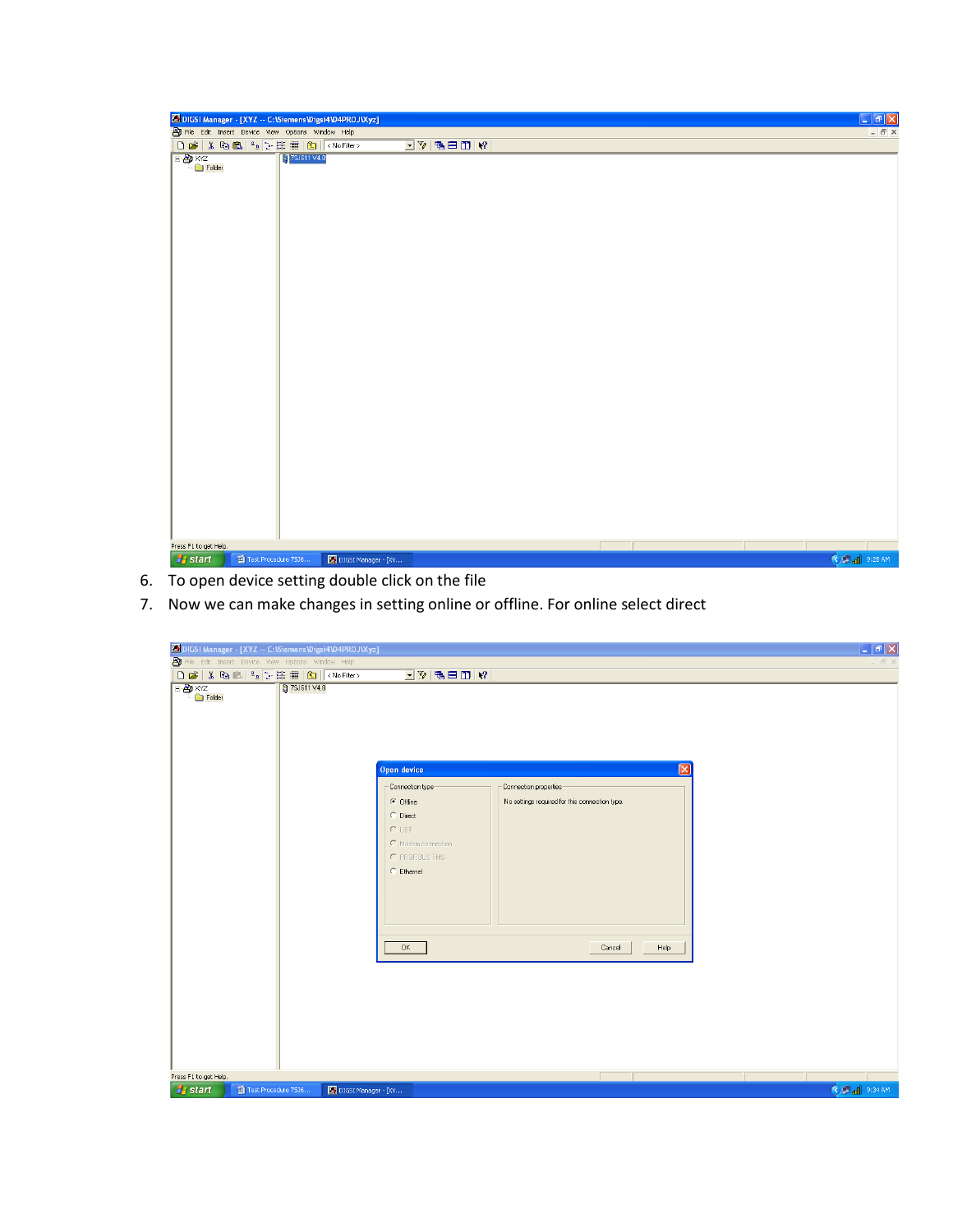|                        | <b>S DIGSI Manager - [XYZ -- C:\Siemens\Digsi4\D4PROJ\Xyz]</b> |                     |                                   |  |  | $\Box$ e $\times$     |  |
|------------------------|----------------------------------------------------------------|---------------------|-----------------------------------|--|--|-----------------------|--|
|                        | File Edit Insert Device View Options Window Help               |                     |                                   |  |  | $ \bar{m}$ $\times$   |  |
|                        | <b>DEXBALTEME</b> KNoFilter>                                   |                     | $\boxed{\mathbb{Z}^{n}}$ reproves |  |  |                       |  |
| <b>B</b> XYZ<br>Folder | 7SJ611 V4.8                                                    |                     |                                   |  |  |                       |  |
| Press F1 to get Help.  |                                                                |                     |                                   |  |  |                       |  |
|                        |                                                                |                     |                                   |  |  |                       |  |
| <b>A</b> start         | Test Procedure 7536                                            | DIGSI Manager - [XY |                                   |  |  | <b>OB</b> all 9:28 AM |  |

- 6. To open device setting double click on the file
- 7. Now we can make changes in setting online or offline. For online select direct

| SDIGSI Manager - [XYZ -- C:\Siemens\Digsi4\D4PROJ\Xyz]                 |                                                                                                                                                                                                                                                                      | $\Box$ e $\mathsf{X}$ |
|------------------------------------------------------------------------|----------------------------------------------------------------------------------------------------------------------------------------------------------------------------------------------------------------------------------------------------------------------|-----------------------|
| File Edit Insert Device View Options Window Help                       |                                                                                                                                                                                                                                                                      |                       |
|                                                                        |                                                                                                                                                                                                                                                                      |                       |
| <b>B</b> XYZ<br>Folder<br>27SJ611V4.8                                  | $\Box$ y b $\Box$ $\Box$ $\Box$ $\Box$<br>$\sqrt{1}$<br>Open device<br>Connection properties<br>Connection type<br>$\subseteq$ Offine<br>No settings required for this connection type.<br>C Direct<br>$C$ USB<br>C Modem connection<br>C PROFIBUS FMS<br>C Ethernet |                       |
|                                                                        | 0K<br>Help<br>Cancel                                                                                                                                                                                                                                                 |                       |
| Press F1 to get Help.<br><b><i>Fa</i></b> start<br>Test Procedure 7536 | DIGSI Manager - [XY                                                                                                                                                                                                                                                  | <b>C</b> 2 al 9:34 AM |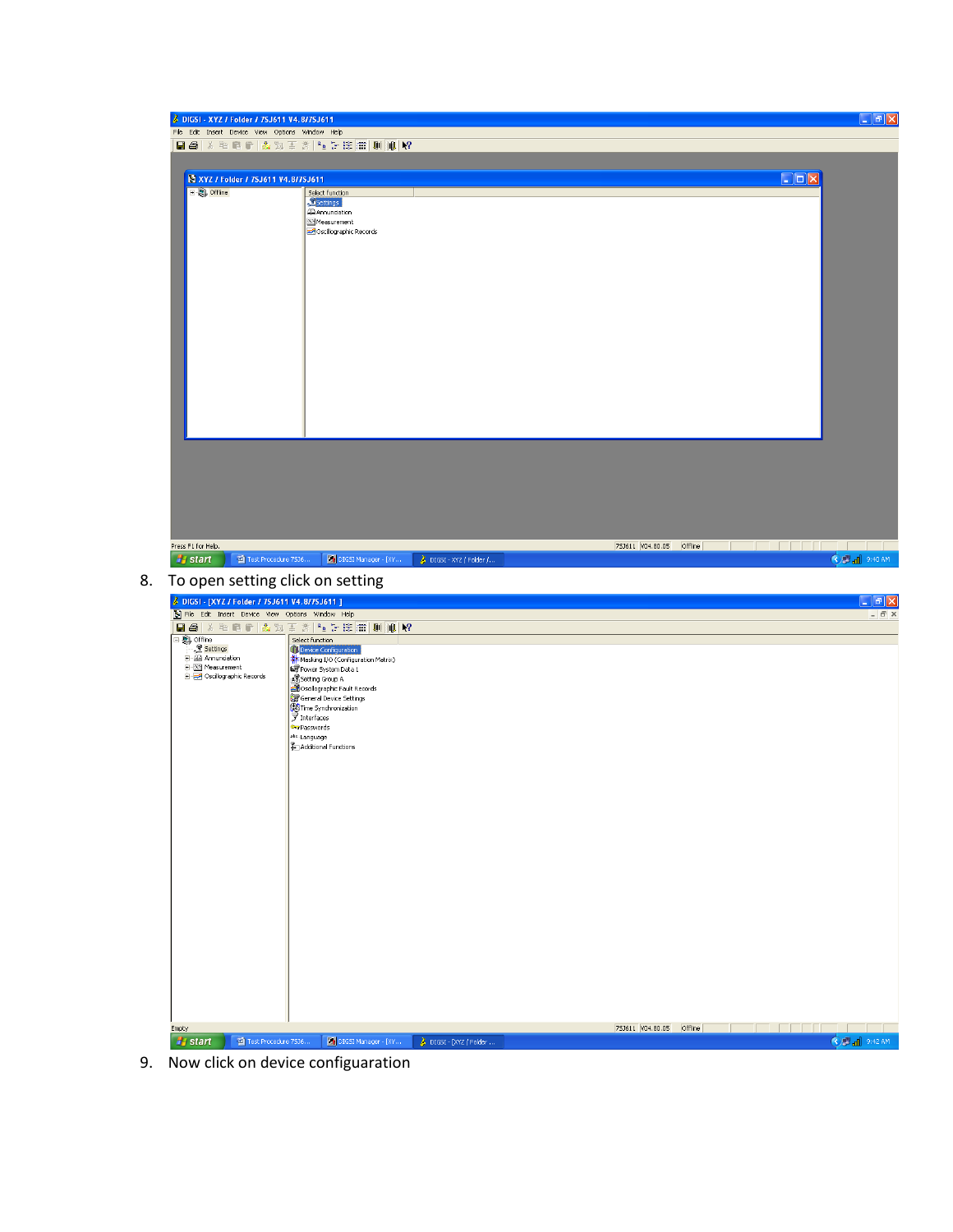|                                                  | 日季 人物危险 直动王炎 生活生用 则加权                                       |                                                        |
|--------------------------------------------------|-------------------------------------------------------------|--------------------------------------------------------|
|                                                  |                                                             |                                                        |
| XYZ / Folder / 7SJ611 V4.8/7SJ611                |                                                             | $\square$ ex                                           |
| <b>E. Offline</b>                                | Select function<br>Settings                                 |                                                        |
|                                                  | <b>BAnnunciation</b>                                        |                                                        |
|                                                  | Measurement<br>Oscillographic Records                       |                                                        |
|                                                  |                                                             |                                                        |
|                                                  |                                                             |                                                        |
|                                                  |                                                             |                                                        |
|                                                  |                                                             |                                                        |
|                                                  |                                                             |                                                        |
|                                                  |                                                             |                                                        |
|                                                  |                                                             |                                                        |
|                                                  |                                                             |                                                        |
|                                                  |                                                             |                                                        |
|                                                  |                                                             |                                                        |
|                                                  |                                                             |                                                        |
|                                                  |                                                             |                                                        |
|                                                  |                                                             |                                                        |
|                                                  |                                                             |                                                        |
|                                                  |                                                             |                                                        |
|                                                  |                                                             |                                                        |
|                                                  |                                                             |                                                        |
|                                                  |                                                             |                                                        |
|                                                  |                                                             |                                                        |
|                                                  |                                                             |                                                        |
|                                                  |                                                             |                                                        |
| Press F1 for Help.                               |                                                             | <b>FFFFF</b>                                           |
| Test Procedure 7536<br><b><i>i</i></b> start     | DIGSI Manager - [XY<br>$\rightarrow$ DIGSI - XYZ / Folder / | 753611 V04.80.05 Offline<br>© <mark>all</mark> 9:40 AM |
| To open setting click on setting                 |                                                             |                                                        |
|                                                  |                                                             |                                                        |
| 3 DIGSI - [XYZ / Folder / 7SJ611 V4.8/7SJ611 ]   |                                                             |                                                        |
| File Edit Insert Device View Options Window Help |                                                             |                                                        |
|                                                  | 日母人和肩胛上为王公生于生用用则用2                                          |                                                        |
| 日 <b>息</b> offine                                | Select function                                             |                                                        |
| Settings<br>- 4 Annunciation                     | Device Configuration<br>Masking I/O (Configuration Matrix)  |                                                        |
| E-X4 Measurement                                 | Power System Data 1                                         |                                                        |
| Oscillographic Records                           | Setting Group A                                             |                                                        |
|                                                  | Stoscillographic Fault Records<br>General Device Settings   |                                                        |
|                                                  |                                                             |                                                        |
|                                                  | Time Synchronization<br>DurPasswords                        |                                                        |
|                                                  | atc.Language                                                |                                                        |
|                                                  | Additional Functions                                        |                                                        |
|                                                  |                                                             |                                                        |
|                                                  |                                                             |                                                        |
|                                                  |                                                             |                                                        |
|                                                  |                                                             |                                                        |
|                                                  |                                                             |                                                        |
|                                                  |                                                             |                                                        |
|                                                  |                                                             |                                                        |
|                                                  |                                                             |                                                        |
|                                                  |                                                             |                                                        |
|                                                  |                                                             |                                                        |
|                                                  |                                                             |                                                        |
|                                                  |                                                             |                                                        |
|                                                  |                                                             |                                                        |
|                                                  |                                                             |                                                        |
|                                                  |                                                             |                                                        |
|                                                  |                                                             |                                                        |
|                                                  |                                                             |                                                        |
|                                                  |                                                             |                                                        |
| Empty                                            |                                                             | 753611 V04.80.05 Offline<br><u>FFFF</u>                |

9. Now click on device configuaration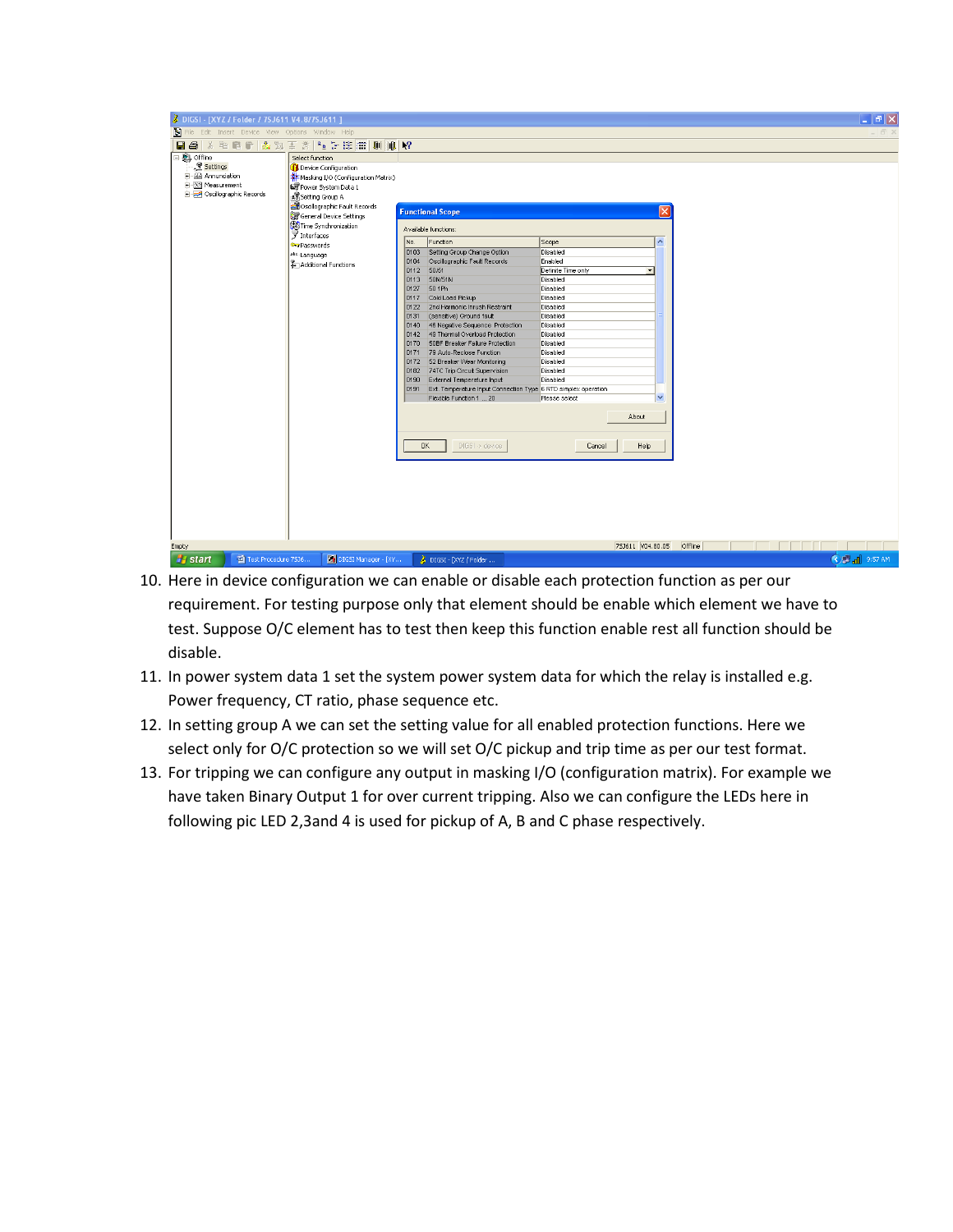| s                              | DIGSI - [XYZ / Folder / 7SJ611 V4.8/7SJ611]             |                                                                                            | - 15                             |
|--------------------------------|---------------------------------------------------------|--------------------------------------------------------------------------------------------|----------------------------------|
|                                | File Edit Insert Device View Options Window Help        |                                                                                            |                                  |
| $\blacksquare$<br>$\mathbb{X}$ | 王 28   2g 计注册   顺   顺   M?<br>电扁行点为                     |                                                                                            |                                  |
| 日 2 offline                    | Select function                                         |                                                                                            |                                  |
| Settings                       | Device Configuration                                    |                                                                                            |                                  |
| + 2 Annunciation               | <b>非</b> Masking I/O (Configuration Matrix)             |                                                                                            |                                  |
| E - XX Measurement             | Power System Data 1                                     |                                                                                            |                                  |
| Oscillographic Records         | Setting Group A                                         |                                                                                            |                                  |
|                                | Socillographic Fault Records<br>General Device Settings | ×<br><b>Functional Scope</b>                                                               |                                  |
|                                | Time Synchronization<br><b>了</b> Interfaces             | Available functions:                                                                       |                                  |
|                                | <b>Our Passwords</b>                                    | $\sim$<br>No.<br>Function<br>Scope                                                         |                                  |
|                                | abr. Language                                           | 0103 Setting Group Change Option<br>Disabled                                               |                                  |
|                                | Additional Functions                                    | Enabled<br>0104<br>Oscillographic Fault Records                                            |                                  |
|                                |                                                         | 0112<br>50/51<br>Definite Time only<br>$\blacktriangledown$<br>50N/51N<br>0113<br>Disabled |                                  |
|                                |                                                         | 0127<br>50 1Ph<br>Disabled                                                                 |                                  |
|                                |                                                         | 0117<br>Cold Load Pickup<br>Disabled                                                       |                                  |
|                                |                                                         | 2nd Harmonic Inrush Restraint<br>Disabled<br>0122                                          |                                  |
|                                |                                                         | 0131<br>(sensitive) Ground fault<br>Disabled                                               |                                  |
|                                |                                                         | Disabled<br>0140<br>46 Negative Sequence Protection                                        |                                  |
|                                |                                                         | 0142 49 Thermal Overload Protection<br>Disabled                                            |                                  |
|                                |                                                         | 50BF Breaker Failure Protection<br>Disabled<br>0170                                        |                                  |
|                                |                                                         | 0171 79 Auto-Reclose Function<br>Disabled<br>Disabled<br>0172                              |                                  |
|                                |                                                         | 52 Breaker Wear Monitoring<br>0182 74TC Trip Circuit Supervision<br>Disabled               |                                  |
|                                |                                                         | External Temperature Input<br>Disabled<br>0190                                             |                                  |
|                                |                                                         | 0191<br>Ext. Temperature Input Connection Type 6 RTD simplex operation                     |                                  |
|                                |                                                         | $\checkmark$<br>Flexible Function 1  20<br>Please select                                   |                                  |
|                                |                                                         |                                                                                            |                                  |
|                                |                                                         | About                                                                                      |                                  |
|                                |                                                         |                                                                                            |                                  |
|                                |                                                         | $DIGSI \rightarrow device$<br><b>OK</b><br>Cancel<br>Help                                  |                                  |
|                                |                                                         |                                                                                            |                                  |
|                                |                                                         |                                                                                            |                                  |
|                                |                                                         |                                                                                            |                                  |
|                                |                                                         |                                                                                            |                                  |
|                                |                                                         |                                                                                            |                                  |
|                                |                                                         |                                                                                            |                                  |
|                                |                                                         |                                                                                            |                                  |
|                                |                                                         |                                                                                            |                                  |
| Empty                          |                                                         | 753611 V04.80.05                                                                           | Offline                          |
| <b><i>L'i</i></b> start        | DIGSI Manager - [XY<br>Test Procedure 7536              | DIGSI - [XYZ / Folder                                                                      | <b>C</b> P <sub>al</sub> 9:57 AM |

- 10. Here in device configuration we can enable or disable each protection function as per our requirement. For testing purpose only that element should be enable which element we have to test. Suppose O/C element has to test then keep this function enable rest all function should be disable.
- 11. In power system data 1 set the system power system data for which the relay is installed e.g. Power frequency, CT ratio, phase sequence etc.
- 12. In setting group A we can set the setting value for all enabled protection functions. Here we select only for O/C protection so we will set O/C pickup and trip time as per our test format.
- 13. For tripping we can configure any output in masking I/O (configuration matrix). For example we have taken Binary Output 1 for over current tripping. Also we can configure the LEDs here in following pic LED 2,3and 4 is used for pickup of A, B and C phase respectively.